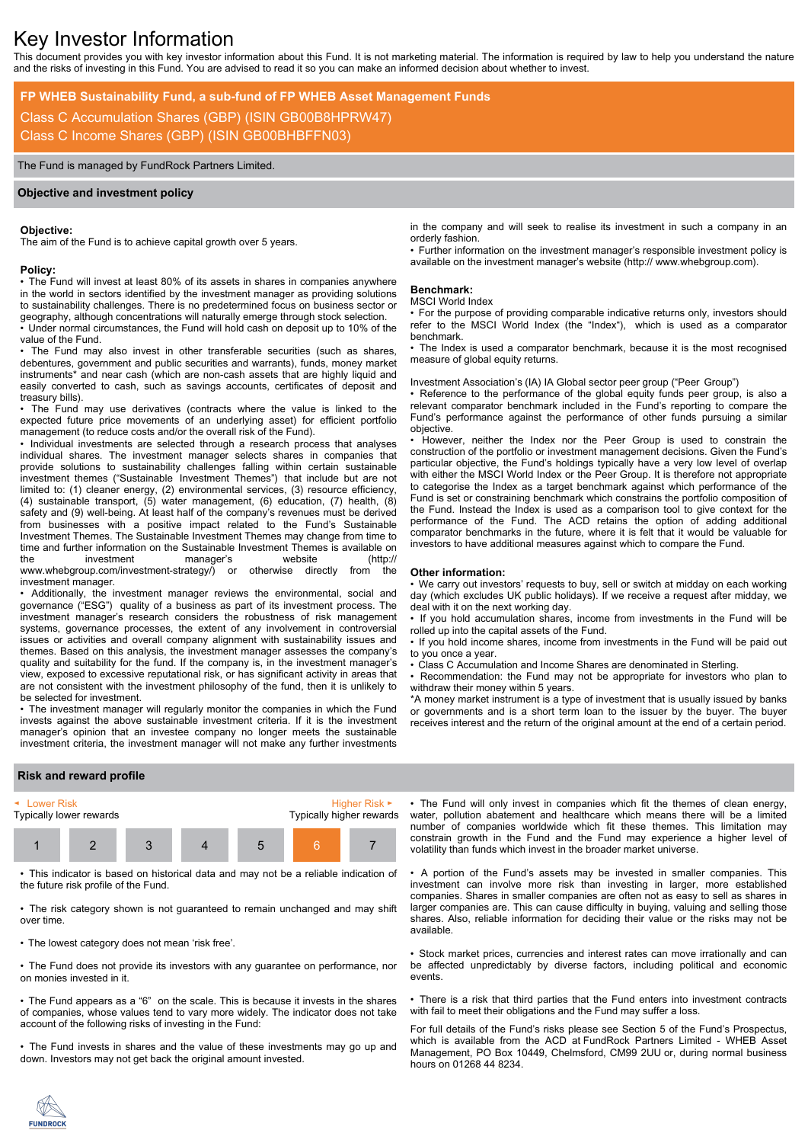# Key Investor Information

This document provides you with key investor information about this Fund. It is not marketing material. The information is required by law to help you understand the nature and the risks of investing in this Fund. You are advised to read it so you can make an informed decision about whether to invest.

**FP WHEB Sustainability Fund, a sub-fund of FP WHEB Asset Management Funds**

Class C Accumulation Shares (GBP) (ISIN GB00B8HPRW47) Class C Income Shares (GBP) (ISIN GB00BHBFFN03)

The Fund is managed by FundRock Partners Limited.

#### **Objective and investment policy**

#### **Objective:**

The aim of the Fund is to achieve capital growth over 5 years.

#### **Policy:**

• The Fund will invest at least 80% of its assets in shares in companies anywhere in the world in sectors identified by the investment manager as providing solutions to sustainability challenges. There is no predetermined focus on business sector or geography, although concentrations will naturally emerge through stock selection.

• Under normal circumstances, the Fund will hold cash on deposit up to 10% of the value of the Fund.

The Fund may also invest in other transferable securities (such as shares, debentures, government and public securities and warrants), funds, money market instruments\* and near cash (which are non-cash assets that are highly liquid and easily converted to cash, such as savings accounts, certificates of deposit and treasury bills).

• The Fund may use derivatives (contracts where the value is linked to the expected future price movements of an underlying asset) for efficient portfolio management (to reduce costs and/or the overall risk of the Fund).

• Individual investments are selected through a research process that analyses individual shares. The investment manager selects shares in companies that provide solutions to sustainability challenges falling within certain sustainable investment themes ("Sustainable Investment Themes") that include but are not limited to: (1) cleaner energy, (2) environmental services, (3) resource efficiency, (4) sustainable transport, (5) water management, (6) education, (7) health, (8) safety and (9) well-being. At least half of the company's revenues must be derived from businesses with a positive impact related to the Fund's Sustainable Investment Themes. The Sustainable Investment Themes may change from time to time and further information on the Sustainable Investment Themes is available on the investment manager's website (http://<br>www.whebgroup.com/investment-strategy/) or otherwise directly from the www.whebgroup.com/investment-strategy/) or investment manager.

• Additionally, the investment manager reviews the environmental, social and governance ("ESG") quality of a business as part of its investment process. The investment manager's research considers the robustness of risk management systems, governance processes, the extent of any involvement in controversial issues or activities and overall company alignment with sustainability issues and themes. Based on this analysis, the investment manager assesses the company's quality and suitability for the fund. If the company is, in the investment manager's view, exposed to excessive reputational risk, or has significant activity in areas that are not consistent with the investment philosophy of the fund, then it is unlikely to be selected for investment.

• The investment manager will regularly monitor the companies in which the Fund invests against the above sustainable investment criteria. If it is the investment manager's opinion that an investee company no longer meets the sustainable investment criteria, the investment manager will not make any further investments

in the company and will seek to realise its investment in such a company in an orderly fashion.

• Further information on the investment manager's responsible investment policy is available on the investment manager's website (http:// www.whebgroup.com).

# **Benchmark:**

#### MSCI World Index

• For the purpose of providing comparable indicative returns only, investors should refer to the MSCI World Index (the "Index"), which is used as a comparator benchmark.

• The Index is used a comparator benchmark, because it is the most recognised measure of global equity returns.

Investment Association's (IA) IA Global sector peer group ("Peer Group")

• Reference to the performance of the global equity funds peer group, is also a relevant comparator benchmark included in the Fund's reporting to compare the Fund's performance against the performance of other funds pursuing a similar objective.

• However, neither the Index nor the Peer Group is used to constrain the construction of the portfolio or investment management decisions. Given the Fund's particular objective, the Fund's holdings typically have a very low level of overlap with either the MSCI World Index or the Peer Group. It is therefore not appropriate to categorise the Index as a target benchmark against which performance of the Fund is set or constraining benchmark which constrains the portfolio composition of the Fund. Instead the Index is used as a comparison tool to give context for the performance of the Fund. The ACD retains the option of adding additional comparator benchmarks in the future, where it is felt that it would be valuable for investors to have additional measures against which to compare the Fund.

#### **Other information:**

• We carry out investors' requests to buy, sell or switch at midday on each working day (which excludes UK public holidays). If we receive a request after midday, we deal with it on the next working day.

• If you hold accumulation shares, income from investments in the Fund will be rolled up into the capital assets of the Fund.

• If you hold income shares, income from investments in the Fund will be paid out to you once a year.

• Class C Accumulation and Income Shares are denominated in Sterling. • Recommendation: the Fund may not be appropriate for investors who plan to

withdraw their money within 5 years.

\*A money market instrument is a type of investment that is usually issued by banks or governments and is a short term loan to the issuer by the buyer. The buyer receives interest and the return of the original amount at the end of a certain period.

# **Risk and reward profile**



• This indicator is based on historical data and may not be a reliable indication of the future risk profile of the Fund.

• The risk category shown is not guaranteed to remain unchanged and may shift over time.

• The lowest category does not mean 'risk free'.

• The Fund does not provide its investors with any guarantee on performance, nor on monies invested in it.

• The Fund appears as a "6" on the scale. This is because it invests in the shares of companies, whose values tend to vary more widely. The indicator does not take account of the following risks of investing in the Fund:

• The Fund invests in shares and the value of these investments may go up and down. Investors may not get back the original amount invested.

• The Fund will only invest in companies which fit the themes of clean energy, water, pollution abatement and healthcare which means there will be a limited number of companies worldwide which fit these themes. This limitation may constrain growth in the Fund and the Fund may experience a higher level of volatility than funds which invest in the broader market universe.

• A portion of the Fund's assets may be invested in smaller companies. This investment can involve more risk than investing in larger, more established companies. Shares in smaller companies are often not as easy to sell as shares in larger companies are. This can cause difficulty in buying, valuing and selling those shares. Also, reliable information for deciding their value or the risks may not be available.

• Stock market prices, currencies and interest rates can move irrationally and can be affected unpredictably by diverse factors, including political and economic events.

• There is a risk that third parties that the Fund enters into investment contracts with fail to meet their obligations and the Fund may suffer a loss.

For full details of the Fund's risks please see Section 5 of the Fund's Prospectus, which is available from the ACD at FundRock Partners Limited - WHEB Asset Management, PO Box 10449, Chelmsford, CM99 2UU or, during normal business hours on 01268 44 8234.